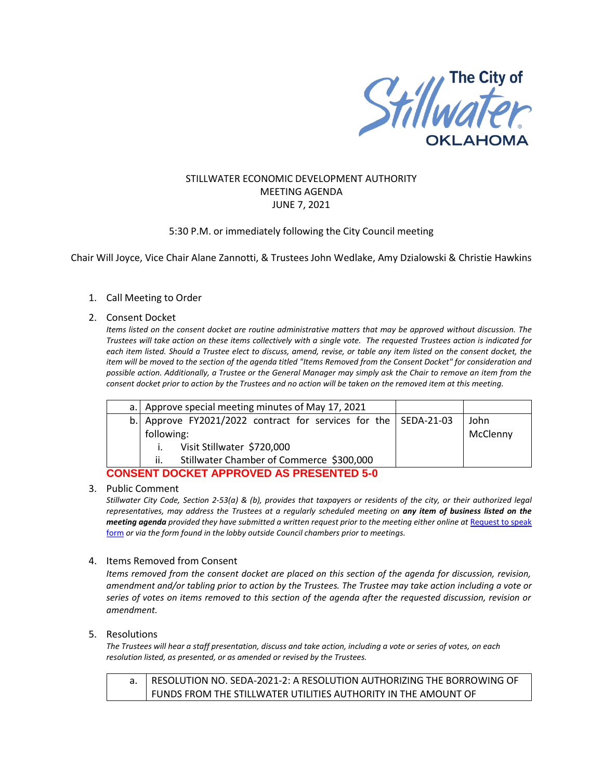

# STILLWATER ECONOMIC DEVELOPMENT AUTHORITY MEETING AGENDA JUNE 7, 2021

## 5:30 P.M. or immediately following the City Council meeting

Chair Will Joyce, Vice Chair Alane Zannotti, & Trustees John Wedlake, Amy Dzialowski & Christie Hawkins

## 1. Call Meeting to Order

#### 2. Consent Docket

*Items listed on the consent docket are routine administrative matters that may be approved without discussion. The Trustees will take action on these items collectively with a single vote. The requested Trustees action is indicated for each item listed. Should a Trustee elect to discuss, amend, revise, or table any item listed on the consent docket, the item will be moved to the section of the agenda titled "Items Removed from the Consent Docket" for consideration and possible action. Additionally, a Trustee or the General Manager may simply ask the Chair to remove an item from the consent docket prior to action by the Trustees and no action will be taken on the removed item at this meeting.*

|                                                 | a. Approve special meeting minutes of May 17, 2021              |  |          |
|-------------------------------------------------|-----------------------------------------------------------------|--|----------|
|                                                 | b. Approve FY2021/2022 contract for services for the SEDA-21-03 |  | John     |
|                                                 | following:                                                      |  | McClenny |
|                                                 | Visit Stillwater \$720,000<br>$\mathbf{I}$ , $\mathbf{I}$       |  |          |
|                                                 | Stillwater Chamber of Commerce \$300,000<br>ii.                 |  |          |
| <b>CONSENT DOCKET APPROVED AS PRESENTED 5-0</b> |                                                                 |  |          |

#### 3. Public Comment

*Stillwater City Code, Section 2-53(a) & (b), provides that taxpayers or residents of the city, or their authorized legal representatives, may address the Trustees at a regularly scheduled meeting on any item of business listed on the meeting agenda provided they have submitted a written request prior to the meeting either online at Request to speak* [form](http://stillwater.org/page/home/government/mayor-city-council/meetings-agendas-minutes/online-request-to-speak-at-city-council) *or via the form found in the lobby outside Council chambers prior to meetings.*

### 4. Items Removed from Consent

*Items removed from the consent docket are placed on this section of the agenda for discussion, revision, amendment and/or tabling prior to action by the Trustees. The Trustee may take action including a vote or series of votes on items removed to this section of the agenda after the requested discussion, revision or amendment.*

### 5. Resolutions

*The Trustees will hear a staff presentation, discuss and take action, including a vote or series of votes, on each resolution listed, as presented, or as amended or revised by the Trustees.* 

a. RESOLUTION NO. SEDA-2021-2: A RESOLUTION AUTHORIZING THE BORROWING OF FUNDS FROM THE STILLWATER UTILITIES AUTHORITY IN THE AMOUNT OF